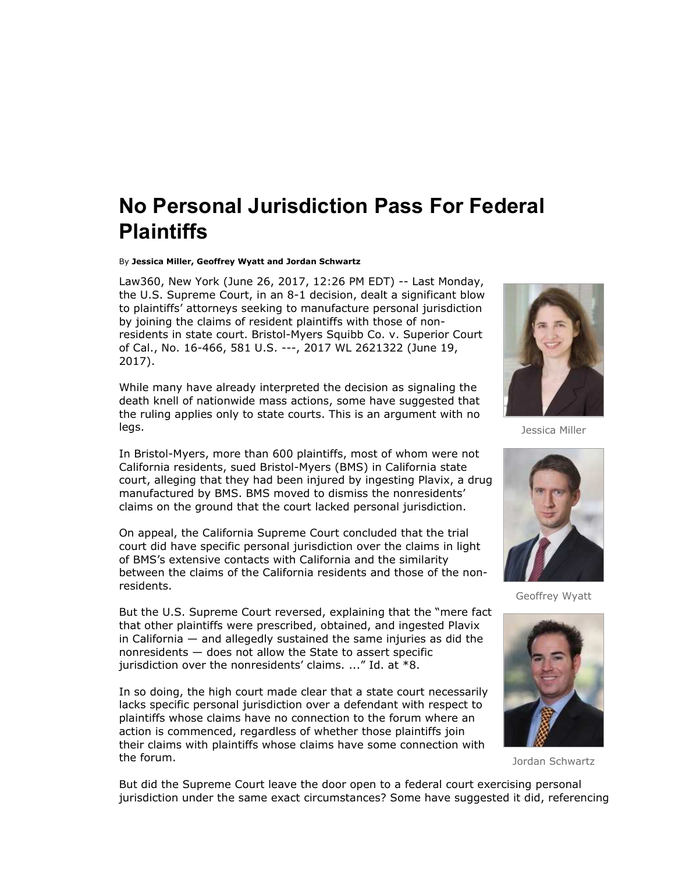## **No Personal Jurisdiction Pass For Federal Plaintiffs**

By **Jessica Miller, Geoffrey Wyatt and Jordan Schwartz**

Law360, New York (June 26, 2017, 12:26 PM EDT) -- Last Monday, the U.S. Supreme Court, in an 8-1 decision, dealt a significant blow to plaintiffs' attorneys seeking to manufacture personal jurisdiction by joining the claims of resident plaintiffs with those of nonresidents in state court. Bristol-Myers Squibb Co. v. Superior Court of Cal., No. 16-466, 581 U.S. ---, 2017 WL 2621322 (June 19, 2017).

While many have already interpreted the decision as signaling the death knell of nationwide mass actions, some have suggested that the ruling applies only to state courts. This is an argument with no legs.

In Bristol-Myers, more than 600 plaintiffs, most of whom were not California residents, sued Bristol-Myers (BMS) in California state court, alleging that they had been injured by ingesting Plavix, a drug manufactured by BMS. BMS moved to dismiss the nonresidents' claims on the ground that the court lacked personal jurisdiction.

On appeal, the California Supreme Court concluded that the trial court did have specific personal jurisdiction over the claims in light of BMS's extensive contacts with California and the similarity between the claims of the California residents and those of the nonresidents.

But the U.S. Supreme Court reversed, explaining that the "mere fact that other plaintiffs were prescribed, obtained, and ingested Plavix in California  $-$  and allegedly sustained the same injuries as did the nonresidents — does not allow the State to assert specific jurisdiction over the nonresidents' claims. ..." Id. at \*8.

In so doing, the high court made clear that a state court necessarily lacks specific personal jurisdiction over a defendant with respect to plaintiffs whose claims have no connection to the forum where an action is commenced, regardless of whether those plaintiffs join their claims with plaintiffs whose claims have some connection with the forum.



Jessica Miller



Geoffrey Wyatt



Jordan Schwartz

But did the Supreme Court leave the door open to a federal court exercising personal jurisdiction under the same exact circumstances? Some have suggested it did, referencing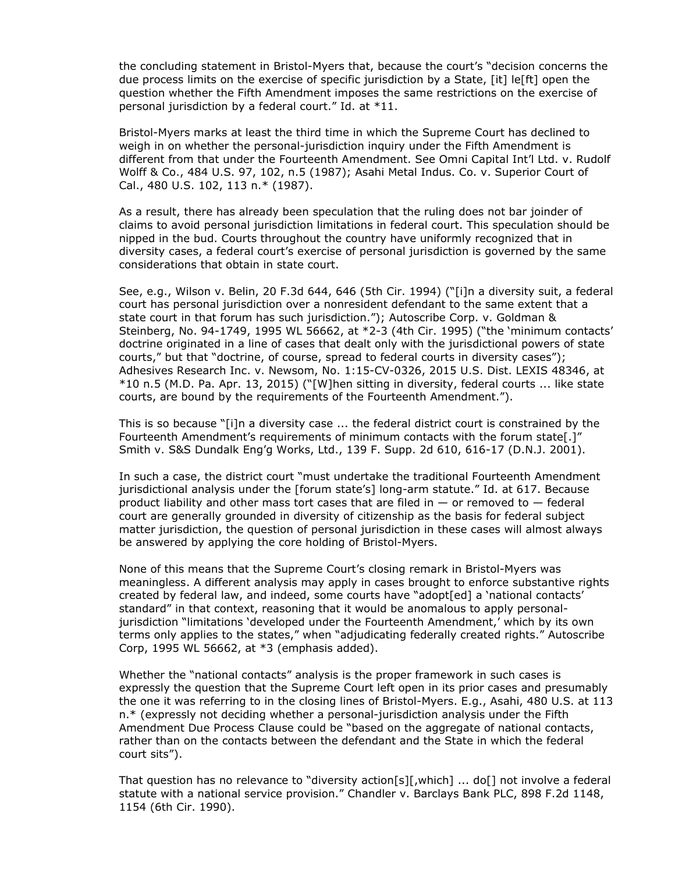the concluding statement in Bristol-Myers that, because the court's "decision concerns the due process limits on the exercise of specific jurisdiction by a State, [it] le[ft] open the question whether the Fifth Amendment imposes the same restrictions on the exercise of personal jurisdiction by a federal court." Id. at \*11.

Bristol-Myers marks at least the third time in which the Supreme Court has declined to weigh in on whether the personal-jurisdiction inquiry under the Fifth Amendment is different from that under the Fourteenth Amendment. See Omni Capital Int'l Ltd. v. Rudolf Wolff & Co., 484 U.S. 97, 102, n.5 (1987); Asahi Metal Indus. Co. v. Superior Court of Cal., 480 U.S. 102, 113 n.\* (1987).

As a result, there has already been speculation that the ruling does not bar joinder of claims to avoid personal jurisdiction limitations in federal court. This speculation should be nipped in the bud. Courts throughout the country have uniformly recognized that in diversity cases, a federal court's exercise of personal jurisdiction is governed by the same considerations that obtain in state court.

See, e.g., Wilson v. Belin, 20 F.3d 644, 646 (5th Cir. 1994) ("[i]n a diversity suit, a federal court has personal jurisdiction over a nonresident defendant to the same extent that a state court in that forum has such jurisdiction."); Autoscribe Corp. v. Goldman & Steinberg, No. 94-1749, 1995 WL 56662, at \*2-3 (4th Cir. 1995) ("the 'minimum contacts' doctrine originated in a line of cases that dealt only with the jurisdictional powers of state courts," but that "doctrine, of course, spread to federal courts in diversity cases"); Adhesives Research Inc. v. Newsom, No. 1:15-CV-0326, 2015 U.S. Dist. LEXIS 48346, at \*10 n.5 (M.D. Pa. Apr. 13, 2015) ("[W]hen sitting in diversity, federal courts ... like state courts, are bound by the requirements of the Fourteenth Amendment.").

This is so because "[i]n a diversity case ... the federal district court is constrained by the Fourteenth Amendment's requirements of minimum contacts with the forum state[.]" Smith v. S&S Dundalk Eng'g Works, Ltd., 139 F. Supp. 2d 610, 616-17 (D.N.J. 2001).

In such a case, the district court "must undertake the traditional Fourteenth Amendment jurisdictional analysis under the [forum state's] long-arm statute." Id. at 617. Because product liability and other mass tort cases that are filed in  $-$  or removed to  $-$  federal court are generally grounded in diversity of citizenship as the basis for federal subject matter jurisdiction, the question of personal jurisdiction in these cases will almost always be answered by applying the core holding of Bristol-Myers.

None of this means that the Supreme Court's closing remark in Bristol-Myers was meaningless. A different analysis may apply in cases brought to enforce substantive rights created by federal law, and indeed, some courts have "adopt[ed] a 'national contacts' standard" in that context, reasoning that it would be anomalous to apply personaljurisdiction "limitations 'developed under the Fourteenth Amendment,' which by its own terms only applies to the states," when "adjudicating federally created rights." Autoscribe Corp, 1995 WL 56662, at \*3 (emphasis added).

Whether the "national contacts" analysis is the proper framework in such cases is expressly the question that the Supreme Court left open in its prior cases and presumably the one it was referring to in the closing lines of Bristol-Myers. E.g., Asahi, 480 U.S. at 113 n.\* (expressly not deciding whether a personal-jurisdiction analysis under the Fifth Amendment Due Process Clause could be "based on the aggregate of national contacts, rather than on the contacts between the defendant and the State in which the federal court sits").

That question has no relevance to "diversity action[s][,which] ... do[] not involve a federal statute with a national service provision." Chandler v. Barclays Bank PLC, 898 F.2d 1148, 1154 (6th Cir. 1990).